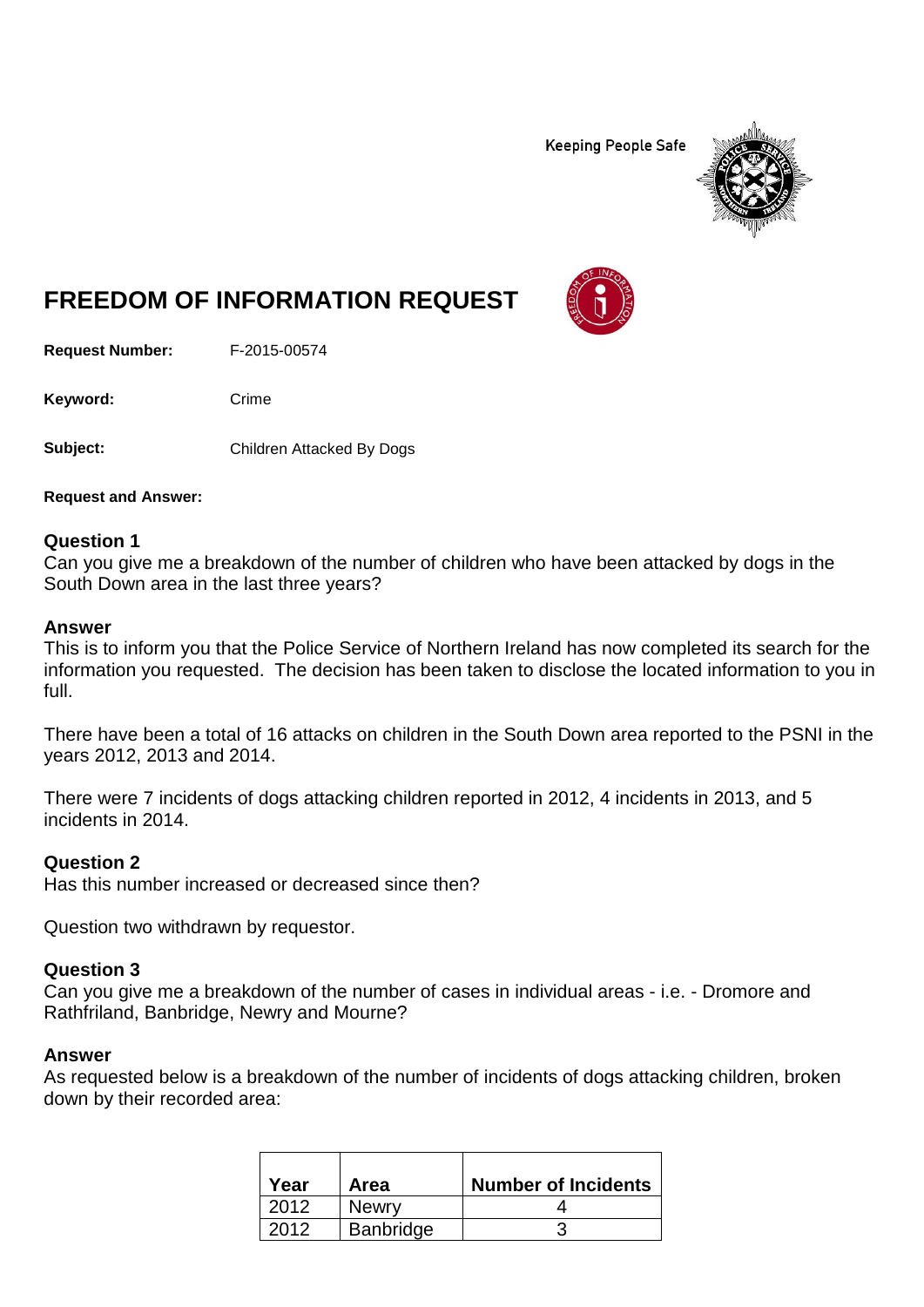**Keeping People Safe** 



# **FREEDOM OF INFORMATION REQUEST**

**Request Number:** F-2015-00574

Keyword: Crime

Subject: Children Attacked By Dogs

**Request and Answer:**

#### **Question 1**

Can you give me a breakdown of the number of children who have been attacked by dogs in the South Down area in the last three years?

#### **Answer**

This is to inform you that the Police Service of Northern Ireland has now completed its search for the information you requested. The decision has been taken to disclose the located information to you in full.

There have been a total of 16 attacks on children in the South Down area reported to the PSNI in the years 2012, 2013 and 2014.

There were 7 incidents of dogs attacking children reported in 2012, 4 incidents in 2013, and 5 incidents in 2014.

#### **Question 2**

Has this number increased or decreased since then?

Question two withdrawn by requestor.

#### **Question 3**

Can you give me a breakdown of the number of cases in individual areas - i.e. - Dromore and Rathfriland, Banbridge, Newry and Mourne?

#### **Answer**

As requested below is a breakdown of the number of incidents of dogs attacking children, broken down by their recorded area:

| Year | Area             | <b>Number of Incidents</b> |
|------|------------------|----------------------------|
| 2012 | <b>Newry</b>     |                            |
| 2012 | <b>Banbridge</b> |                            |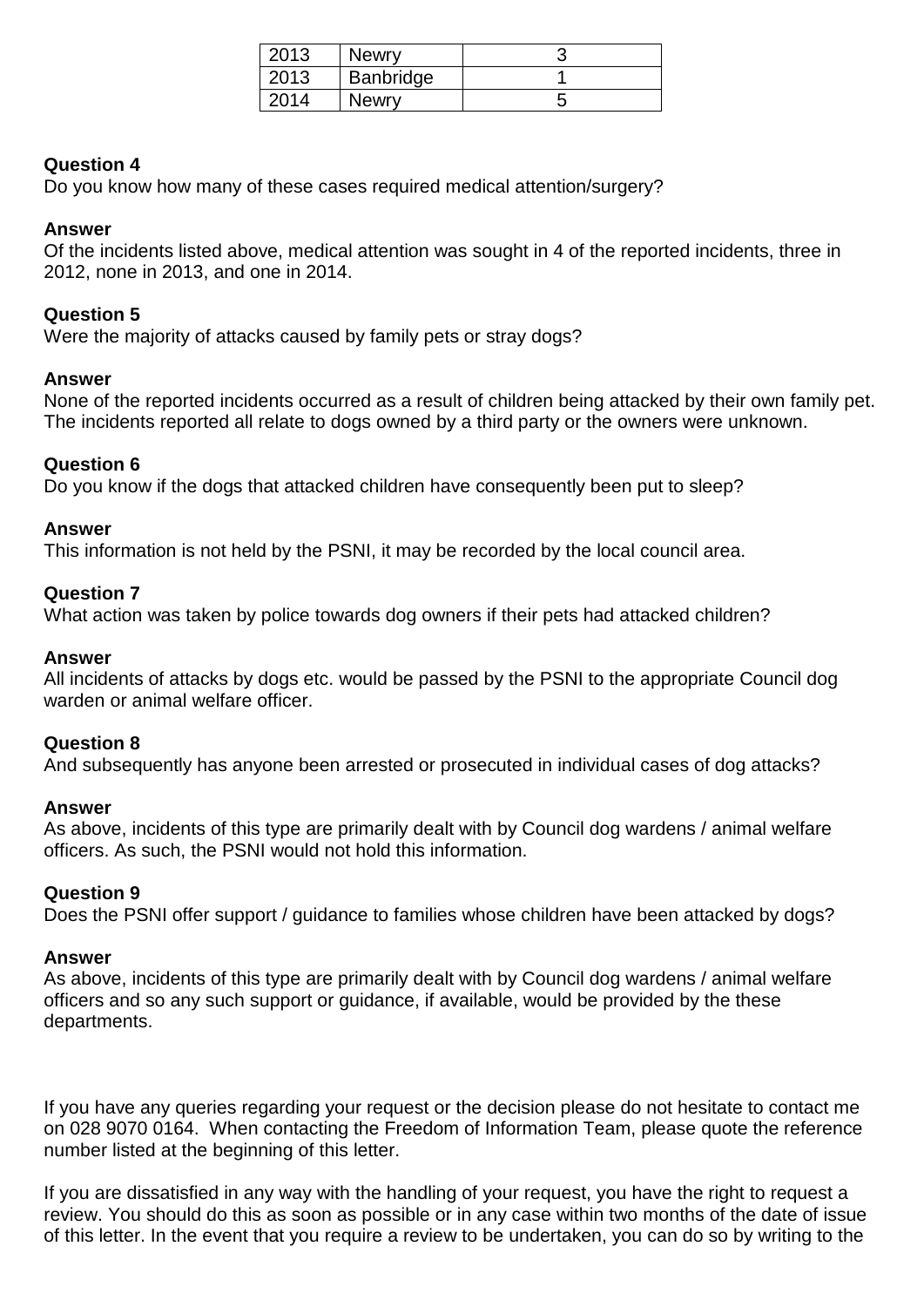| 2013 | <b>Newry</b> |  |
|------|--------------|--|
| 2013 | Banbridge    |  |
| 2014 | Newry        |  |

# **Question 4**

Do you know how many of these cases required medical attention/surgery?

### **Answer**

Of the incidents listed above, medical attention was sought in 4 of the reported incidents, three in 2012, none in 2013, and one in 2014.

# **Question 5**

Were the majority of attacks caused by family pets or stray dogs?

#### **Answer**

None of the reported incidents occurred as a result of children being attacked by their own family pet. The incidents reported all relate to dogs owned by a third party or the owners were unknown.

#### **Question 6**

Do you know if the dogs that attacked children have consequently been put to sleep?

# **Answer**

This information is not held by the PSNI, it may be recorded by the local council area.

# **Question 7**

What action was taken by police towards dog owners if their pets had attacked children?

#### **Answer**

All incidents of attacks by dogs etc. would be passed by the PSNI to the appropriate Council dog warden or animal welfare officer.

#### **Question 8**

And subsequently has anyone been arrested or prosecuted in individual cases of dog attacks?

#### **Answer**

As above, incidents of this type are primarily dealt with by Council dog wardens / animal welfare officers. As such, the PSNI would not hold this information.

#### **Question 9**

Does the PSNI offer support / guidance to families whose children have been attacked by dogs?

#### **Answer**

As above, incidents of this type are primarily dealt with by Council dog wardens / animal welfare officers and so any such support or guidance, if available, would be provided by the these departments.

If you have any queries regarding your request or the decision please do not hesitate to contact me on 028 9070 0164. When contacting the Freedom of Information Team, please quote the reference number listed at the beginning of this letter.

If you are dissatisfied in any way with the handling of your request, you have the right to request a review. You should do this as soon as possible or in any case within two months of the date of issue of this letter. In the event that you require a review to be undertaken, you can do so by writing to the